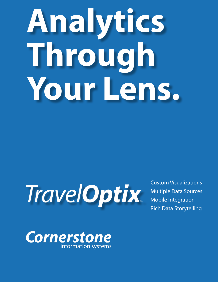# **Analytics Through Your Lens.**

## **TravelOptix**

Custom Visualizations Multiple Data Sources Mobile Integration Rich Data Storytelling